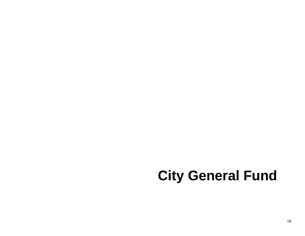# **City General Fund**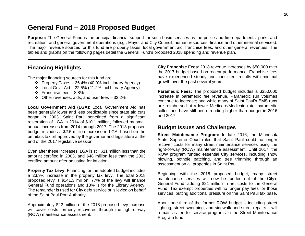## **General Fund – 2018 Proposed Budget**

**Purpose:** The General Fund is the principal financial support for such basic services as the police and fire departments, parks and recreation, and general government operations (e.g., Mayor and City Council, human resources, finance and other internal services). The major revenue sources for this fund are property taxes, local government aid, franchise fees, and other general revenues. The tables and graphs on the following pages detail the General Fund's proposed 2018 spending and revenue plan.

#### **Financing Highlights**

The major financing sources for this fund are:

- ❖ Property Taxes 36.4% (40.0% incl Library Agency)
- ❖ Local Gov't Aid 22.5% (21.2% incl Library Agency)
- ❖ Franchise fees 8.8%
- ❖ Other revenues, aids, and user fees 32.2%

**Local Government Aid (LGA)**: Local Government Aid has been generally lower and less predictable since state aid cuts began in 2003. Saint Paul benefitted from a significant restoration of LGA in 2014 of \$10.1 million, followed by small annual increases from 2014 through 2017. The 2018 proposed budget includes a \$2.5 million increase in LGA, based on the omnibus tax bill approved by the governor and legislature at the end of the 2017 legislative session.

Even after these increases, LGA is still \$11 million less than the amount certified in 2003, and \$48 million less than the 2003 certified amount after adjusting for inflation.

**Property Tax Levy:** Financing for the adopted budget includes a 23.9% increase in the property tax levy. The total 2018 proposed levy is \$141.3 million. 77% of the levy will finance General Fund operations and 13% is for the Library Agency. The remainder is used for City debt service or is levied on behalf of the Saint Paul Port Authority.

Approximately \$22 million of the 2018 proposed levy increase will cover costs formerly recovered through the right-of-way (ROW) maintenance assessment.

**City Franchise Fees**: 2018 revenue increases by \$50,000 over the 2017 budget based on recent performance. Franchise fees have experienced steady and consistent results with minimal growth over the past several years.

**Paramedic Fees:** The proposed budget includes a \$350,000 increase in paramedic fee revenue. Paramedic run volumes continue to increase; and while many of Saint Paul's EMS runs are reimbursed at a lower Medicare/Medicaid rate, paramedic collections have still been trending higher than budget in 2016 and 2017.

#### **Budget Issues and Challenges**

**Street Maintenance Program:** In late 2016, the Minnesota State Supreme Court ruled that Saint Paul could no longer recover costs for many street maintenance services using the right-of-way (ROW) maintenance assessment. Until 2017, the ROW program funded essential City services, including snow plowing, pothole patching, and tree trimming through an assessment on all properties in Saint Paul.

Beginning with the 2018 proposed budget, many street maintenance services will now be funded out of the City's General Fund, adding \$21 million in net costs to the General Fund. Tax exempt properties will no longer pay fees for those services, putting additional pressure on the Saint Paul tax base.

About one-third of the former ROW budget – including street lighting, street sweeping, and sidewalk and street repairs – will remain as fee for service programs in the Street Maintenance Program fund.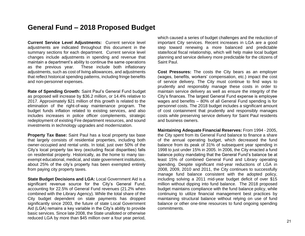### **General Fund – 2018 Proposed Budget**

**Current Service Level Adjustments:** Current service level adiustments are indicated throughout this document in the summary sections for each department. Current service level changes include adjustments in spending and revenue that maintain a department's ability to continue the same operations as the previous year. These include both inflationary adjustments, such as cost of living allowances, and adjustments that reflect historical spending patterns, including fringe benefits and non-personnel expenses.

**Rate of Spending Growth:** Saint Paul's General Fund budget as proposed will increase by \$36.2 million, or 14.4% relative to 2017. Approximately \$21 million of this growth is related to the elimination of the right-of-way maintenance program. The budget funds inflation related to existing services, and also includes increases in police officer complements, strategic redeployment of existing Fire department resources, and sound investments in technology upgrades and modernization.

**Property Tax Base:** Saint Paul has a local property tax base that largely consists of residential properties, including both owner-occupied and rental units. In total, just over 50% of the City's local property tax levy (excluding fiscal disparities) falls on residential property. Historically, as the home to many taxexempt educational, medical, and state government institutions, about 25% of the city's property has been exempted entirely from paying city property taxes.

**State Budget Decisions and LGA:** Local Government Aid is a significant revenue source for the City's General Fund, accounting for 22.5% of General Fund revenues (21.2% when combined with the Library Agency). While the total share of the City budget dependent on state payments has dropped significantly since 2003, the future of state Local Government Aid (LGA) remains a key variable in the City's ability to provide basic services. Since late 2008, the State unalloted or otherwise reduced LGA by more than \$45 million over a four year period,

which caused a series of budget challenges and the reduction of important City services. Recent increases in LGA are a good step toward renewing a more balanced and predictable state/local fiscal relationship, which will help make local budget planning and service delivery more predictable for the citizens of Saint Paul.

**Cost Pressures:** The costs the City bears as an employer (wages, benefits, workers' compensation, etc.) impact the cost of service delivery. The City must continue to find ways to prudently and responsibly manage these costs in order to maintain service delivery as well as ensure the integrity of the City's finances. The largest General Fund expense is employee wages and benefits – 80% of all General Fund spending is for personnel costs. The 2018 budget includes a significant amount of cost containment that prudently and responsibly manages costs while preserving service delivery for Saint Paul residents and business owners.

**Maintaining Adequate Financial Reserves:** From 1994 - 2005, the City spent from its General Fund balance to finance a share of the annual operating budget, which decreased the fund balance from its peak of 31% of subsequent year spending in 1998 to just under 15% in 2005. In 2006, the City enacted a fund balance policy mandating that the General Fund's balance be at least 15% of combined General Fund and Library operating spending. Despite significant mid-year reductions of LGA in 2008, 2009, 2010 and 2011, the City continues to successfully manage fund balance consistent with the adopted policy, including solving a 2011 mid-year budget deficit of over \$15 million without dipping into fund balance. The 2018 proposed budget maintains compliance with the fund balance policy, while continuing to utilize financial management best practices by maintaining structural balance without relying on use of fund balance or other one-time resources to fund ongoing spending commitments.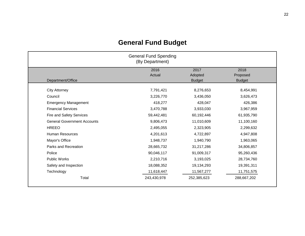| <b>General Fund Spending</b><br>(By Department) |             |               |               |  |
|-------------------------------------------------|-------------|---------------|---------------|--|
|                                                 | 2016        | 2017          | 2018          |  |
|                                                 | Actual      | Adopted       | Proposed      |  |
| Department/Office                               |             | <b>Budget</b> | <b>Budget</b> |  |
| <b>City Attorney</b>                            | 7,791,421   | 8,276,653     | 8,454,991     |  |
| Council                                         | 3,226,770   | 3,436,050     | 3,626,473     |  |
| <b>Emergency Management</b>                     | 418,277     | 428,047       | 426,386       |  |
| <b>Financial Services</b>                       | 3,470,788   | 3,933,030     | 3,967,959     |  |
| Fire and Safety Services                        | 59,442,481  | 60,192,446    | 61,935,790    |  |
| <b>General Government Accounts</b>              | 9,806,473   | 11,010,609    | 11,100,160    |  |
| <b>HREEO</b>                                    | 2,495,055   | 2,323,905     | 2,299,632     |  |
| <b>Human Resources</b>                          | 4,201,613   | 4,722,897     | 4,947,808     |  |
| Mayor's Office                                  | 1,948,737   | 1,940,790     | 1,963,065     |  |
| Parks and Recreation                            | 28,665,732  | 31,217,286    | 34,806,857    |  |
| Police                                          | 90,046,117  | 91,009,317    | 95,260,436    |  |
| <b>Public Works</b>                             | 2,210,716   | 3,193,025     | 28,734,760    |  |
| Safety and Inspection                           | 18,088,352  | 19,134,293    | 19,391,311    |  |
| Technology                                      | 11,618,447  | 11,567,277    | 11,751,575    |  |
| Total                                           | 243,430,978 | 252,385,623   | 288,667,202   |  |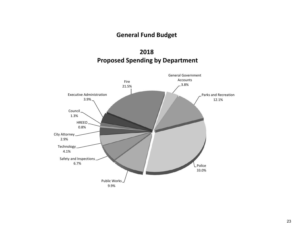## **2018 Proposed Spending by Department**

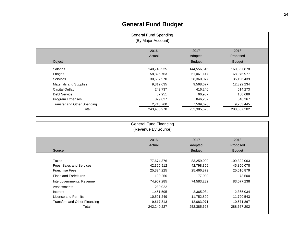| <b>General Fund Spending</b><br>(By Major Account) |                |                 |                  |  |  |
|----------------------------------------------------|----------------|-----------------|------------------|--|--|
|                                                    | 2016<br>Actual | 2017<br>Adopted | 2018<br>Proposed |  |  |
| Object                                             |                | <b>Budget</b>   | <b>Budget</b>    |  |  |
| <b>Salaries</b>                                    | 140,743,935    | 144,556,646     | 160,857,878      |  |  |
| Fringes                                            | 58,826,763     | 61,061,147      | 68,975,977       |  |  |
| <b>Services</b>                                    | 30,687,970     | 28,360,077      | 35,196,439       |  |  |
| <b>Materials and Supplies</b>                      | 9,312,035      | 9,568,677       | 12,892,234       |  |  |
| Capital Outlay                                     | 243.737        | 416,246         | 514,273          |  |  |
| <b>Debt Service</b>                                | 67,951         | 66,937          | 150,689          |  |  |
| Program Expenses                                   | 829,827        | 846,267         | 846,267          |  |  |
| Transfer and Other Spending                        | 2,718,760      | 7,509,626       | 9,233,445        |  |  |
| Total                                              | 243,430,978    | 252,385,623     | 288,667,202      |  |  |

| <b>General Fund Financing</b><br>(Revenue By Source)<br>2018<br>2016<br>2017 |             |               |                          |  |  |
|------------------------------------------------------------------------------|-------------|---------------|--------------------------|--|--|
|                                                                              |             |               |                          |  |  |
| Source                                                                       |             | <b>Budget</b> | <b>Budget</b>            |  |  |
|                                                                              |             |               |                          |  |  |
| Taxes                                                                        | 77,674,376  | 83,259,099    | 109,322,063              |  |  |
| Fees, Sales and Services                                                     | 42,325,912  | 42,798,359    | 45,850,078               |  |  |
| <b>Franchise Fees</b>                                                        | 25,324,225  | 25,466,879    | 25,516,879               |  |  |
| <b>Fines and Forfeitures</b>                                                 | 109,250     | 77,000        | 73,500                   |  |  |
| Intergovernmental Revenue                                                    | 74,907,285  | 74,583,282    | 83,077,238               |  |  |
| Assessments                                                                  | 239,022     |               | $\overline{\phantom{0}}$ |  |  |
| Interest                                                                     | 1,451,595   | 2,365,034     | 2,365,034                |  |  |
| <b>License and Permits</b>                                                   | 10,591,249  | 11,752,899    | 11,790,543               |  |  |
| Transfers and Other Financing                                                | 9,617,313   | 12,083,071    | 10,671,867               |  |  |
| Total                                                                        | 242,240,227 | 252,385,623   | 288,667,202              |  |  |